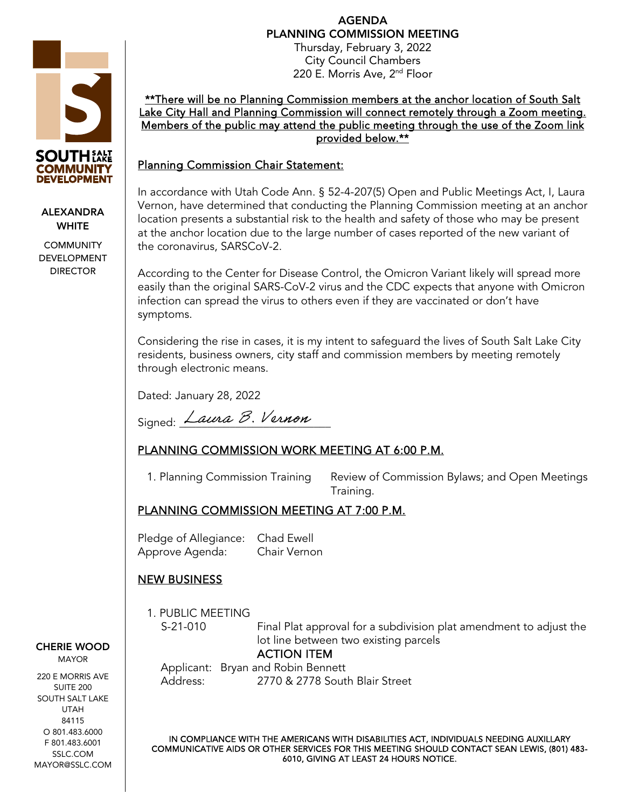AGENDA PLANNING COMMISSION MEETING

Thursday, February 3, 2022 City Council Chambers 220 E. Morris Ave, 2<sup>nd</sup> Floor

\*\*There will be no Planning Commission members at the anchor location of South Salt Lake City Hall and Planning Commission will connect remotely through a Zoom meeting. Members of the public may attend the public meeting through the use of the Zoom link provided below.\*\*

#### Planning Commission Chair Statement:

In accordance with Utah Code Ann. § 52-4-207(5) Open and Public Meetings Act, I, Laura Vernon, have determined that conducting the Planning Commission meeting at an anchor location presents a substantial risk to the health and safety of those who may be present at the anchor location due to the large number of cases reported of the new variant of the coronavirus, SARSCoV-2.

According to the Center for Disease Control, the Omicron Variant likely will spread more easily than the original SARS-CoV-2 virus and the CDC expects that anyone with Omicron infection can spread the virus to others even if they are vaccinated or don't have symptoms.

Considering the rise in cases, it is my intent to safeguard the lives of South Salt Lake City residents, business owners, city staff and commission members by meeting remotely through electronic means.

Dated: January 28, 2022

Signed: Laura B. Vernon

# PLANNING COMMISSION WORK MEETING AT 6:00 P.M.

1. Planning Commission Training Review of Commission Bylaws; and Open Meetings Training.

## PLANNING COMMISSION MEETING AT 7:00 P.M.

Pledge of Allegiance: Chad Ewell Approve Agenda: Chair Vernon

## NEW BUSINESS

1. PUBLIC MEETING

S-21-010 Final Plat approval for a subdivision plat amendment to adjust the lot line between two existing parcels

## ACTION ITEM

Applicant: Bryan and Robin Bennett Address: 2770 & 2778 South Blair Street

IN COMPLIANCE WITH THE AMERICANS WITH DISABILITIES ACT, INDIVIDUALS NEEDING AUXILLARY COMMUNICATIVE AIDS OR OTHER SERVICES FOR THIS MEETING SHOULD CONTACT SEAN LEWIS, (801) 483- 6010, GIVING AT LEAST 24 HOURS NOTICE.



220 E MORRIS AVE SUITE 200 SOUTH SALT LAKE UTAH 84115 O 801.483.6000 F 801.483.6001 SSLC.COM MAYOR@SSLC.COM



#### ALEXANDRA **WHITE**

**COMMUNITY** DEVELOPMENT DIRECTOR